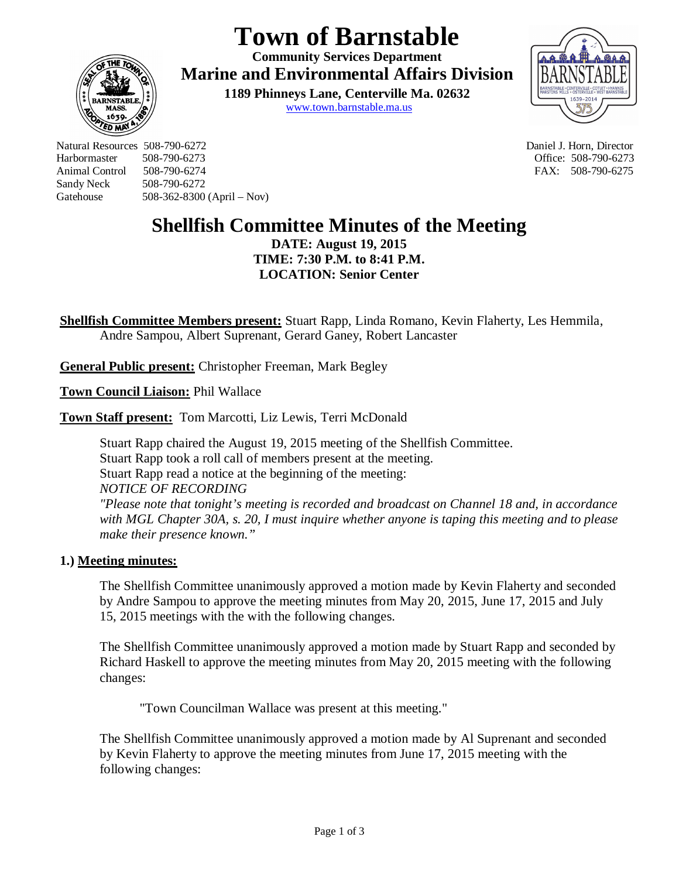# **Town of Barnstable**

**Community Services Department Marine and Environmental Affairs Division** 

> **1189 Phinneys Lane, Centerville Ma. 02632** www.town.barnstable.ma.us



Natural Resources 508-790-6272 Daniel J. Horn, Director Harbormaster 508-790-6273<br>
Animal Control 508-790-6274 FAX: 508-790-6275 Sandy Neck 508-790-6272 Gatehouse 508-362-8300 (April – Nov)

**ED MI** 

FAX: 508-790-6275

# **Shellfish Committee Minutes of the Meeting**

**DATE: August 19, 2015 TIME: 7:30 P.M. to 8:41 P.M. LOCATION: Senior Center**

**Shellfish Committee Members present:** Stuart Rapp, Linda Romano, Kevin Flaherty, Les Hemmila, Andre Sampou, Albert Suprenant, Gerard Ganey, Robert Lancaster

**General Public present:** Christopher Freeman, Mark Begley

**Town Council Liaison:** Phil Wallace

**Town Staff present:** Tom Marcotti, Liz Lewis, Terri McDonald

Stuart Rapp chaired the August 19, 2015 meeting of the Shellfish Committee. Stuart Rapp took a roll call of members present at the meeting. Stuart Rapp read a notice at the beginning of the meeting: *NOTICE OF RECORDING "Please note that tonight's meeting is recorded and broadcast on Channel 18 and, in accordance with MGL Chapter 30A, s. 20, I must inquire whether anyone is taping this meeting and to please make their presence known."*

# **1.) Meeting minutes:**

The Shellfish Committee unanimously approved a motion made by Kevin Flaherty and seconded by Andre Sampou to approve the meeting minutes from May 20, 2015, June 17, 2015 and July 15, 2015 meetings with the with the following changes.

The Shellfish Committee unanimously approved a motion made by Stuart Rapp and seconded by Richard Haskell to approve the meeting minutes from May 20, 2015 meeting with the following changes:

"Town Councilman Wallace was present at this meeting."

The Shellfish Committee unanimously approved a motion made by Al Suprenant and seconded by Kevin Flaherty to approve the meeting minutes from June 17, 2015 meeting with the following changes: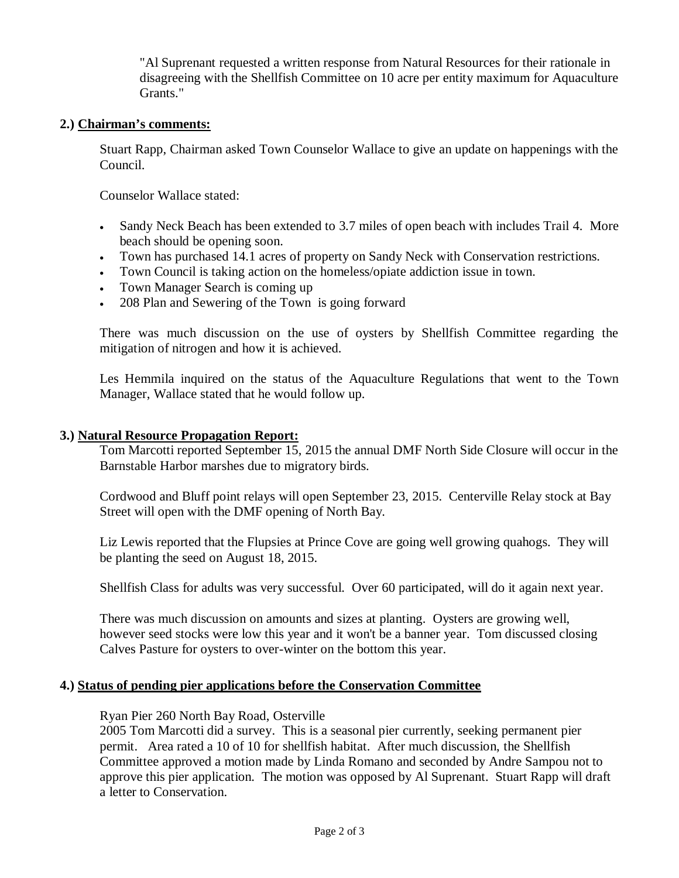"Al Suprenant requested a written response from Natural Resources for their rationale in disagreeing with the Shellfish Committee on 10 acre per entity maximum for Aquaculture Grants."

#### **2.) Chairman's comments:**

Stuart Rapp, Chairman asked Town Counselor Wallace to give an update on happenings with the Council.

Counselor Wallace stated:

- Sandy Neck Beach has been extended to 3.7 miles of open beach with includes Trail 4. More beach should be opening soon.
- Town has purchased 14.1 acres of property on Sandy Neck with Conservation restrictions.
- Town Council is taking action on the homeless/opiate addiction issue in town.
- Town Manager Search is coming up
- 208 Plan and Sewering of the Town is going forward

There was much discussion on the use of oysters by Shellfish Committee regarding the mitigation of nitrogen and how it is achieved.

Les Hemmila inquired on the status of the Aquaculture Regulations that went to the Town Manager, Wallace stated that he would follow up.

#### **3.) Natural Resource Propagation Report:**

Tom Marcotti reported September 15, 2015 the annual DMF North Side Closure will occur in the Barnstable Harbor marshes due to migratory birds.

Cordwood and Bluff point relays will open September 23, 2015. Centerville Relay stock at Bay Street will open with the DMF opening of North Bay.

Liz Lewis reported that the Flupsies at Prince Cove are going well growing quahogs. They will be planting the seed on August 18, 2015.

Shellfish Class for adults was very successful. Over 60 participated, will do it again next year.

There was much discussion on amounts and sizes at planting. Oysters are growing well, however seed stocks were low this year and it won't be a banner year. Tom discussed closing Calves Pasture for oysters to over-winter on the bottom this year.

#### **4.) Status of pending pier applications before the Conservation Committee**

#### Ryan Pier 260 North Bay Road, Osterville

2005 Tom Marcotti did a survey. This is a seasonal pier currently, seeking permanent pier permit. Area rated a 10 of 10 for shellfish habitat. After much discussion, the Shellfish Committee approved a motion made by Linda Romano and seconded by Andre Sampou not to approve this pier application. The motion was opposed by Al Suprenant. Stuart Rapp will draft a letter to Conservation.